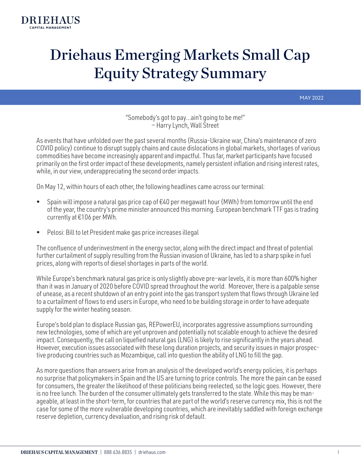

# Driehaus Emerging Markets Small Cap Equity Strategy Summary

MAY 2022

"Somebody's got to pay…ain't going to be me!" — Harry Lynch, Wall Street

As events that have unfolded over the past several months (Russia-Ukraine war, China's maintenance of zero COVID policy) continue to disrupt supply chains and cause dislocations in global markets, shortages of various commodities have become increasingly apparent and impactful. Thus far, market participants have focused primarily on the first order impact of these developments, namely persistent inflation and rising interest rates, while, in our view, underappreciating the second order impacts.

On May 12, within hours of each other, the following headlines came across our terminal:

- Spain will impose a natural gas price cap of  $E40$  per megawatt hour (MWh) from tomorrow until the end of the year, the country's prime minister announced this morning. European benchmark TTF gas is trading currently at €106 per MWh.
- Pelosi: Bill to let President make gas price increases illegal

The confluence of underinvestment in the energy sector, along with the direct impact and threat of potential further curtailment of supply resulting from the Russian invasion of Ukraine, has led to a sharp spike in fuel prices, along with reports of diesel shortages in parts of the world.

While Europe's benchmark natural gas price is only slightly above pre-war levels, it is more than 600% higher than it was in January of 2020 before COVID spread throughout the world. Moreover, there is a palpable sense of unease, as a recent shutdown of an entry point into the gas transport system that flows through Ukraine led to a curtailment of flows to end users in Europe, who need to be building storage in order to have adequate supply for the winter heating season.

Europe's bold plan to displace Russian gas, REPowerEU, incorporates aggressive assumptions surrounding new technologies, some of which are yet unproven and potentially not scalable enough to achieve the desired impact. Consequently, the call on liquefied natural gas (LNG) is likely to rise significantly in the years ahead. However, execution issues associated with these long duration projects, and security issues in major prospective producing countries such as Mozambique, call into question the ability of LNG to fill the gap.

As more questions than answers arise from an analysis of the developed world's energy policies, it is perhaps no surprise that policymakers in Spain and the US are turning to price controls. The more the pain can be eased for consumers, the greater the likelihood of these politicians being reelected, so the logic goes. However, there is no free lunch. The burden of the consumer ultimately gets transferred to the state. While this may be manageable, at least in the short-term, for countries that are part of the world's reserve currency mix, this is not the case for some of the more vulnerable developing countries, which are inevitably saddled with foreign exchange reserve depletion, currency devaluation, and rising risk of default.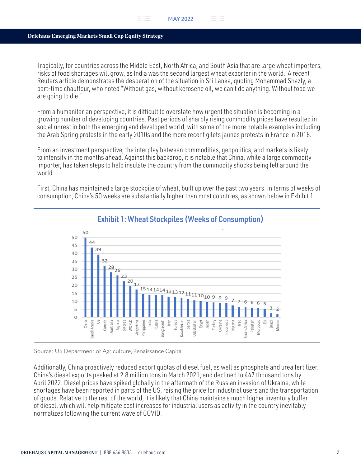Tragically, for countries across the Middle East, North Africa, and South Asia that are large wheat importers, risks of food shortages will grow, as India was the second largest wheat exporter in the world. A recent Reuters article demonstrates the desperation of the situation in Sri Lanka, quoting Mohammad Shazly, a part-time chauffeur, who noted "Without gas, without kerosene oil, we can't do anything. Without food we are going to die."

From a humanitarian perspective, it is difficult to overstate how urgent the situation is becoming in a growing number of developing countries. Past periods of sharply rising commodity prices have resulted in social unrest in both the emerging and developed world, with some of the more notable examples including the Arab Spring protests in the early 2010s and the more recent gilets jaunes protests in France in 2018.

From an investment perspective, the interplay between commodities, geopolitics, and markets is likely to intensify in the months ahead. Against this backdrop, it is notable that China, while a large commodity importer, has taken steps to help insulate the country from the commodity shocks being felt around the world.

First, China has maintained a large stockpile of wheat, built up over the past two years. In terms of weeks of consumption, China's 50 weeks are substantially higher than most countries, as shown below in Exhibit 1.



# Exhibit 1: Wheat Stockpiles (Weeks of Consumption)

Source: US Department of Agriculture, Renaissance Capital

Additionally, China proactively reduced export quotas of diesel fuel, as well as phosphate and urea fertilizer. China's diesel exports peaked at 2.8 million tons in March 2021, and declined to 447 thousand tons by April 2022. Diesel prices have spiked globally in the aftermath of the Russian invasion of Ukraine, while shortages have been reported in parts of the US, raising the price for industrial users and the transportation of goods. Relative to the rest of the world, it is likely that China maintains a much higher inventory buffer of diesel, which will help mitigate cost increases for industrial users as activity in the country inevitably normalizes following the current wave of COVID.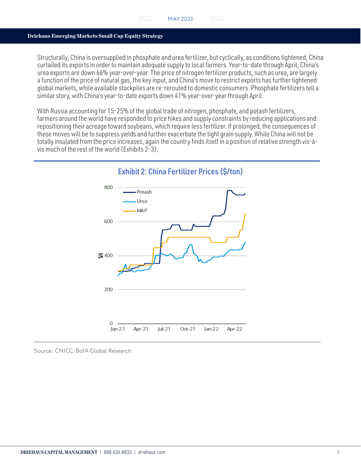## Driehaus Emerging Markets Small Cap Equity Strategy

Structurally, China is oversupplied in phosphate and urea fertilizer, but cyclically, as conditions tightened, China curtailed its exports in order to maintain adequate supply to local farmers. Year-to-date through April, China's urea exports are down 66% year-over-year. The price of nitrogen fertilizer products, such as urea, are largely a function of the price of natural gas, the key input, and China's move to restrict exports has further tightened global markets, while available stockpiles are re-rerouted to domestic consumers. Phosphate fertilizers tell a similar story, with China's year-to-date exports down 41% year-over-year through April.

With Russia accounting for 15-25% of the global trade of nitrogen, phosphate, and potash fertilizers, farmers around the world have responded to price hikes and supply constraints by reducing applications and repositioning their acreage toward soybeans, which require less fertilizer. If prolonged, the consequences of these moves will be to suppress yields and further exacerbate the tight grain supply. While China will not be totally insulated from the price increases, again the country finds itself in a position of relative strength vis-àvis much of the rest of the world (Exhibits 2-3).



# Exhibit 2: China Fertilizer Prices (\$/ton)

Source: CNICC, BofA Global Research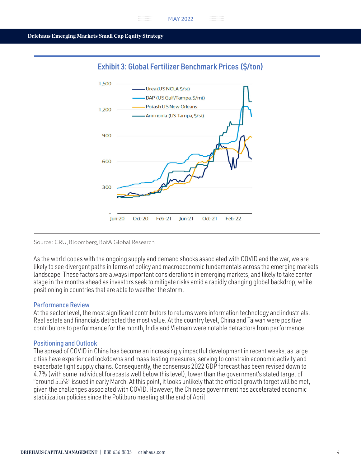



## Source: CRU, Bloomberg, BofA Global Research

As the world copes with the ongoing supply and demand shocks associated with COVID and the war, we are likely to see divergent paths in terms of policy and macroeconomic fundamentals across the emerging markets landscape. These factors are always important considerations in emerging markets, and likely to take center stage in the months ahead as investors seek to mitigate risks amid a rapidly changing global backdrop, while positioning in countries that are able to weather the storm.

# Performance Review

At the sector level, the most significant contributors to returns were information technology and industrials. Real estate and financials detracted the most value. At the country level, China and Taiwan were positive contributors to performance for the month, India and Vietnam were notable detractors from performance.

# Positioning and Outlook

The spread of COVID in China has become an increasingly impactful development in recent weeks, as large cities have experienced lockdowns and mass testing measures, serving to constrain economic activity and exacerbate tight supply chains. Consequently, the consensus 2022 GDP forecast has been revised down to 4.7% (with some individual forecasts well below this level), lower than the government's stated target of "around 5.5%" issued in early March. At this point, it looks unlikely that the official growth target will be met, given the challenges associated with COVID. However, the Chinese government has accelerated economic stabilization policies since the Politburo meeting at the end of April.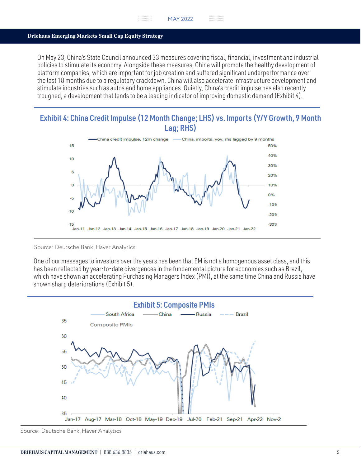## Driehaus Emerging Markets Small Cap Equity Strategy

On May 23, China's State Council announced 33 measures covering fiscal, financial, investment and industrial policies to stimulate its economy. Alongside these measures, China will promote the healthy development of platform companies, which are important for job creation and suffered significant underperformance over the last 18 months due to a regulatory crackdown. China will also accelerate infrastructure development and stimulate industries such as autos and home appliances. Quietly, China's credit impulse has also recently troughed, a development that tends to be a leading indicator of improving domestic demand (Exhibit 4).

# Exhibit 4: China Credit Impulse (12 Month Change; LHS) vs. Imports (Y/Y Growth, 9 Month Lag; RHS)



#### Source: Deutsche Bank, Haver Analytics

One of our messages to investors over the years has been that EM is not a homogenous asset class, and this has been reflected by year-to-date divergences in the fundamental picture for economies such as Brazil, which have shown an accelerating Purchasing Managers Index (PMI), at the same time China and Russia have shown sharp deteriorations (Exhibit 5).



Source: Deutsche Bank, Haver Analytics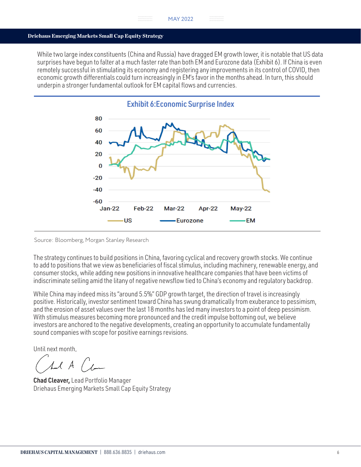## Driehaus Emerging Markets Small Cap Equity Strategy

While two large index constituents (China and Russia) have dragged EM growth lower, it is notable that US data surprises have begun to falter at a much faster rate than both EM and Eurozone data (Exhibit 6). If China is even remotely successful in stimulating its economy and registering any improvements in its control of COVID, then economic growth differentials could turn increasingly in EM's favor in the months ahead. In turn, this should underpin a stronger fundamental outlook for EM capital flows and currencies.



Source: Bloomberg, Morgan Stanley Research

The strategy continues to build positions in China, favoring cyclical and recovery growth stocks. We continue to add to positions that we view as beneficiaries of fiscal stimulus, including machinery, renewable energy, and consumer stocks, while adding new positions in innovative healthcare companies that have been victims of indiscriminate selling amid the litany of negative newsflow tied to China's economy and regulatory backdrop.

While China may indeed miss its "around 5.5%" GDP growth target, the direction of travel is increasingly positive. Historically, investor sentiment toward China has swung dramatically from exuberance to pessimism, and the erosion of asset values over the last 18 months has led many investors to a point of deep pessimism. With stimulus measures becoming more pronounced and the credit impulse bottoming out, we believe investors are anchored to the negative developments, creating an opportunity to accumulate fundamentally sound companies with scope for positive earnings revisions.

Until next month,

 $1.1A$ 

Chad Cleaver, Lead Portfolio Manager Driehaus Emerging Markets Small Cap Equity Strategy